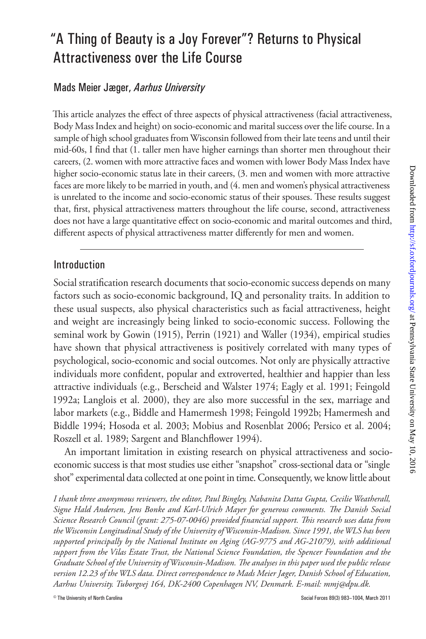# "A Thing of Beauty is a Joy Forever"? Returns to Physical Attractiveness over the Life Course

### Mads Meier Jæger, *Aarhus University*

This article analyzes the effect of three aspects of physical attractiveness (facial attractiveness, Body Mass Index and height) on socio-economic and marital success over the life course. In a sample of high school graduates from Wisconsin followed from their late teens and until their mid-60s, I find that (1. taller men have higher earnings than shorter men throughout their careers, (2. women with more attractive faces and women with lower Body Mass Index have higher socio-economic status late in their careers, (3. men and women with more attractive faces are more likely to be married in youth, and (4. men and women's physical attractiveness is unrelated to the income and socio-economic status of their spouses. These results suggest that, first, physical attractiveness matters throughout the life course, second, attractiveness does not have a large quantitative effect on socio-economic and marital outcomes and third, different aspects of physical attractiveness matter differently for men and women.

## Introduction

Social stratification research documents that socio-economic success depends on many factors such as socio-economic background, IQ and personality traits. In addition to these usual suspects, also physical characteristics such as facial attractiveness, height and weight are increasingly being linked to socio-economic success. Following the seminal work by Gowin (1915), Perrin (1921) and Waller (1934), empirical studies have shown that physical attractiveness is positively correlated with many types of psychological, socio-economic and social outcomes. Not only are physically attractive individuals more confident, popular and extroverted, healthier and happier than less attractive individuals (e.g., Berscheid and Walster 1974; Eagly et al. 1991; Feingold 1992a; Langlois et al. 2000), they are also more successful in the sex, marriage and labor markets (e.g., Biddle and Hamermesh 1998; Feingold 1992b; Hamermesh and Biddle 1994; Hosoda et al. 2003; Mobius and Rosenblat 2006; Persico et al. 2004; Roszell et al. 1989; Sargent and Blanchflower 1994).

An important limitation in existing research on physical attractiveness and socioeconomic success is that most studies use either "snapshot" cross-sectional data or "single shot" experimental data collected at one point in time. Consequently, we know little about

*I thank three anonymous reviewers, the editor, Paul Bingley, Nabanita Datta Gupta, Cecilie Weatherall, Signe Hald Andersen, Jens Bonke and Karl-Ulrich Mayer for generous comments. The Danish Social Science Research Council (grant: 275-07-0046) provided financial support. This research uses data from the Wisconsin Longitudinal Study of the University of Wisconsin-Madison. Since 1991, the WLS has been*  supported principally by the National Institute on Aging (AG-9775 and AG-21079), with additional *support from the Vilas Estate Trust, the National Science Foundation, the Spencer Foundation and the Graduate School of the University of Wisconsin-Madison. The analyses in this paper used the public release version 12.23 of the WLS data. Direct correspondence to Mads Meier Jæger, Danish School of Education, Aarhus University. Tuborgvej 164, DK-2400 Copenhagen NV, Denmark. E-mail: mmj@dpu.dk.*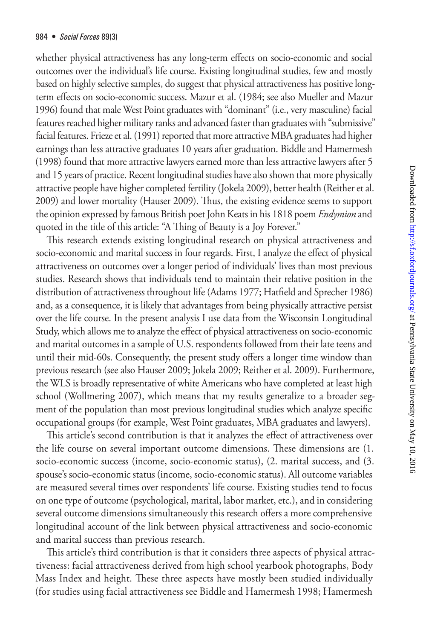whether physical attractiveness has any long-term effects on socio-economic and social outcomes over the individual's life course. Existing longitudinal studies, few and mostly based on highly selective samples, do suggest that physical attractiveness has positive longterm effects on socio-economic success. Mazur et al. (1984; see also Mueller and Mazur 1996) found that male West Point graduates with "dominant" (i.e., very masculine) facial features reached higher military ranks and advanced faster than graduates with "submissive" facial features. Frieze et al. (1991) reported that more attractive MBA graduates had higher earnings than less attractive graduates 10 years after graduation. Biddle and Hamermesh (1998) found that more attractive lawyers earned more than less attractive lawyers after 5 and 15 years of practice. Recent longitudinal studies have also shown that more physically attractive people have higher completed fertility (Jokela 2009), better health (Reither et al. 2009) and lower mortality (Hauser 2009). Thus, the existing evidence seems to support the opinion expressed by famous British poet John Keats in his 1818 poem *Endymion* and quoted in the title of this article: "A Thing of Beauty is a Joy Forever."

This research extends existing longitudinal research on physical attractiveness and socio-economic and marital success in four regards. First, I analyze the effect of physical attractiveness on outcomes over a longer period of individuals' lives than most previous studies. Research shows that individuals tend to maintain their relative position in the distribution of attractiveness throughout life (Adams 1977; Hatfield and Sprecher 1986) and, as a consequence, it is likely that advantages from being physically attractive persist over the life course. In the present analysis I use data from the Wisconsin Longitudinal Study, which allows me to analyze the effect of physical attractiveness on socio-economic and marital outcomes in a sample of U.S. respondents followed from their late teens and until their mid-60s. Consequently, the present study offers a longer time window than previous research (see also Hauser 2009; Jokela 2009; Reither et al. 2009). Furthermore, the WLS is broadly representative of white Americans who have completed at least high school (Wollmering 2007), which means that my results generalize to a broader segment of the population than most previous longitudinal studies which analyze specific occupational groups (for example, West Point graduates, MBA graduates and lawyers).

This article's second contribution is that it analyzes the effect of attractiveness over the life course on several important outcome dimensions. These dimensions are (1. socio-economic success (income, socio-economic status), (2. marital success, and (3. spouse's socio-economic status (income, socio-economic status). All outcome variables are measured several times over respondents' life course. Existing studies tend to focus on one type of outcome (psychological, marital, labor market, etc.), and in considering several outcome dimensions simultaneously this research offers a more comprehensive longitudinal account of the link between physical attractiveness and socio-economic and marital success than previous research.

This article's third contribution is that it considers three aspects of physical attractiveness: facial attractiveness derived from high school yearbook photographs, Body Mass Index and height. These three aspects have mostly been studied individually (for studies using facial attractiveness see Biddle and Hamermesh 1998; Hamermesh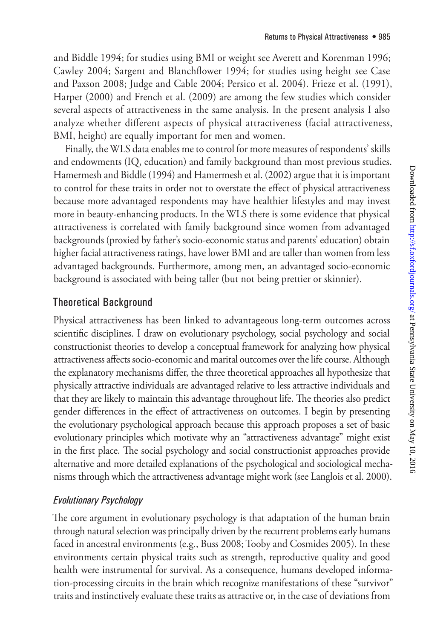and Biddle 1994; for studies using BMI or weight see Averett and Korenman 1996; Cawley 2004; Sargent and Blanchflower 1994; for studies using height see Case and Paxson 2008; Judge and Cable 2004; Persico et al. 2004). Frieze et al. (1991), Harper (2000) and French et al. (2009) are among the few studies which consider several aspects of attractiveness in the same analysis. In the present analysis I also analyze whether different aspects of physical attractiveness (facial attractiveness, BMI, height) are equally important for men and women.

Finally, the WLS data enables me to control for more measures of respondents' skills and endowments (IQ, education) and family background than most previous studies. Hamermesh and Biddle (1994) and Hamermesh et al. (2002) argue that it is important to control for these traits in order not to overstate the effect of physical attractiveness because more advantaged respondents may have healthier lifestyles and may invest more in beauty-enhancing products. In the WLS there is some evidence that physical attractiveness is correlated with family background since women from advantaged backgrounds (proxied by father's socio-economic status and parents' education) obtain higher facial attractiveness ratings, have lower BMI and are taller than women from less advantaged backgrounds. Furthermore, among men, an advantaged socio-economic background is associated with being taller (but not being prettier or skinnier).

# Theoretical Background

Physical attractiveness has been linked to advantageous long-term outcomes across scientific disciplines. I draw on evolutionary psychology, social psychology and social constructionist theories to develop a conceptual framework for analyzing how physical attractiveness affects socio-economic and marital outcomes over the life course. Although the explanatory mechanisms differ, the three theoretical approaches all hypothesize that physically attractive individuals are advantaged relative to less attractive individuals and that they are likely to maintain this advantage throughout life. The theories also predict gender differences in the effect of attractiveness on outcomes. I begin by presenting the evolutionary psychological approach because this approach proposes a set of basic evolutionary principles which motivate why an "attractiveness advantage" might exist in the first place. The social psychology and social constructionist approaches provide alternative and more detailed explanations of the psychological and sociological mechanisms through which the attractiveness advantage might work (see Langlois et al. 2000).

# *Evolutionary Psychology*

The core argument in evolutionary psychology is that adaptation of the human brain through natural selection was principally driven by the recurrent problems early humans faced in ancestral environments (e.g., Buss 2008; Tooby and Cosmides 2005). In these environments certain physical traits such as strength, reproductive quality and good health were instrumental for survival. As a consequence, humans developed information-processing circuits in the brain which recognize manifestations of these "survivor" traits and instinctively evaluate these traits as attractive or, in the case of deviations from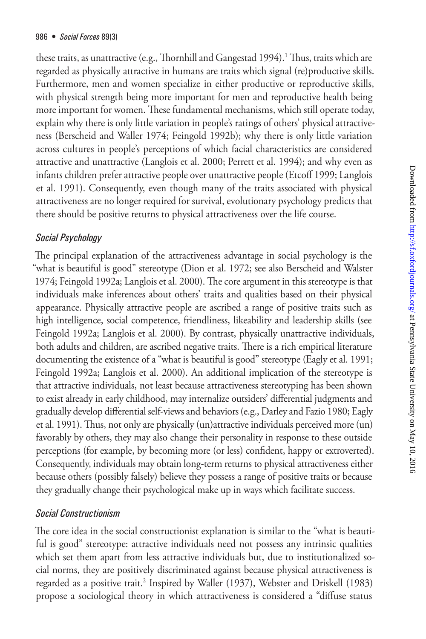these traits, as unattractive (e.g., Thornhill and Gangestad 1994).<sup>1</sup> Thus, traits which are regarded as physically attractive in humans are traits which signal (re)productive skills. Furthermore, men and women specialize in either productive or reproductive skills, with physical strength being more important for men and reproductive health being more important for women. These fundamental mechanisms, which still operate today, explain why there is only little variation in people's ratings of others' physical attractiveness (Berscheid and Waller 1974; Feingold 1992b); why there is only little variation across cultures in people's perceptions of which facial characteristics are considered attractive and unattractive (Langlois et al. 2000; Perrett et al. 1994); and why even as infants children prefer attractive people over unattractive people (Etcoff 1999; Langlois et al. 1991). Consequently, even though many of the traits associated with physical attractiveness are no longer required for survival, evolutionary psychology predicts that there should be positive returns to physical attractiveness over the life course.

#### *Social Psychology*

The principal explanation of the attractiveness advantage in social psychology is the "what is beautiful is good" stereotype (Dion et al. 1972; see also Berscheid and Walster 1974; Feingold 1992a; Langlois et al. 2000). The core argument in this stereotype is that individuals make inferences about others' traits and qualities based on their physical appearance. Physically attractive people are ascribed a range of positive traits such as high intelligence, social competence, friendliness, likeability and leadership skills (see Feingold 1992a; Langlois et al. 2000). By contrast, physically unattractive individuals, both adults and children, are ascribed negative traits. There is a rich empirical literature documenting the existence of a "what is beautiful is good" stereotype (Eagly et al. 1991; Feingold 1992a; Langlois et al. 2000). An additional implication of the stereotype is that attractive individuals, not least because attractiveness stereotyping has been shown to exist already in early childhood, may internalize outsiders' differential judgments and gradually develop differential self-views and behaviors (e.g., Darley and Fazio 1980; Eagly et al. 1991). Thus, not only are physically (un)attractive individuals perceived more (un) favorably by others, they may also change their personality in response to these outside perceptions (for example, by becoming more (or less) confident, happy or extroverted). Consequently, individuals may obtain long-term returns to physical attractiveness either because others (possibly falsely) believe they possess a range of positive traits or because they gradually change their psychological make up in ways which facilitate success.

### *Social Constructionism*

The core idea in the social constructionist explanation is similar to the "what is beautiful is good" stereotype: attractive individuals need not possess any intrinsic qualities which set them apart from less attractive individuals but, due to institutionalized social norms, they are positively discriminated against because physical attractiveness is regarded as a positive trait.<sup>2</sup> Inspired by Waller (1937), Webster and Driskell (1983) propose a sociological theory in which attractiveness is considered a "diffuse status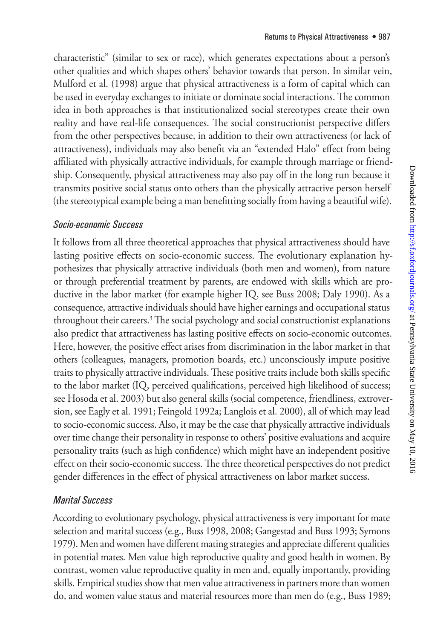characteristic" (similar to sex or race), which generates expectations about a person's other qualities and which shapes others' behavior towards that person. In similar vein, Mulford et al. (1998) argue that physical attractiveness is a form of capital which can be used in everyday exchanges to initiate or dominate social interactions. The common idea in both approaches is that institutionalized social stereotypes create their own reality and have real-life consequences. The social constructionist perspective differs from the other perspectives because, in addition to their own attractiveness (or lack of attractiveness), individuals may also benefit via an "extended Halo" effect from being affiliated with physically attractive individuals, for example through marriage or friendship. Consequently, physical attractiveness may also pay off in the long run because it transmits positive social status onto others than the physically attractive person herself (the stereotypical example being a man benefitting socially from having a beautiful wife).

#### *Socio-economic Success*

It follows from all three theoretical approaches that physical attractiveness should have lasting positive effects on socio-economic success. The evolutionary explanation hypothesizes that physically attractive individuals (both men and women), from nature or through preferential treatment by parents, are endowed with skills which are productive in the labor market (for example higher IQ, see Buss 2008; Daly 1990). As a consequence, attractive individuals should have higher earnings and occupational status throughout their careers.<sup>3</sup> The social psychology and social constructionist explanations also predict that attractiveness has lasting positive effects on socio-economic outcomes. Here, however, the positive effect arises from discrimination in the labor market in that others (colleagues, managers, promotion boards, etc.) unconsciously impute positive traits to physically attractive individuals. These positive traits include both skills specific to the labor market (IQ, perceived qualifications, perceived high likelihood of success; see Hosoda et al. 2003) but also general skills (social competence, friendliness, extroversion, see Eagly et al. 1991; Feingold 1992a; Langlois et al. 2000), all of which may lead to socio-economic success. Also, it may be the case that physically attractive individuals over time change their personality in response to others' positive evaluations and acquire personality traits (such as high confidence) which might have an independent positive effect on their socio-economic success. The three theoretical perspectives do not predict gender differences in the effect of physical attractiveness on labor market success.

### *Marital Success*

According to evolutionary psychology, physical attractiveness is very important for mate selection and marital success (e.g., Buss 1998, 2008; Gangestad and Buss 1993; Symons 1979). Men and women have different mating strategies and appreciate different qualities in potential mates. Men value high reproductive quality and good health in women. By contrast, women value reproductive quality in men and, equally importantly, providing skills. Empirical studies show that men value attractiveness in partners more than women do, and women value status and material resources more than men do (e.g., Buss 1989;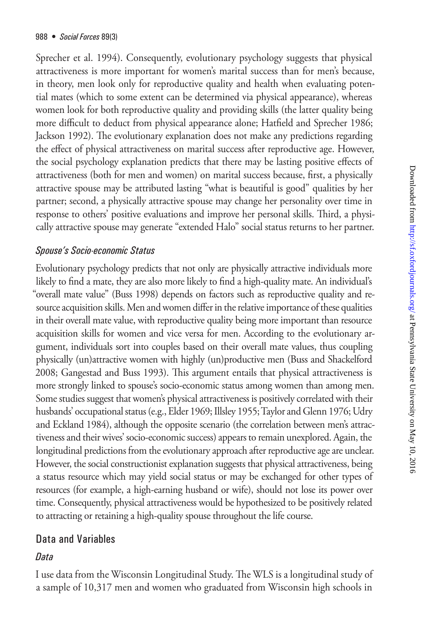Sprecher et al. 1994). Consequently, evolutionary psychology suggests that physical attractiveness is more important for women's marital success than for men's because, in theory, men look only for reproductive quality and health when evaluating potential mates (which to some extent can be determined via physical appearance), whereas women look for both reproductive quality and providing skills (the latter quality being more difficult to deduct from physical appearance alone; Hatfield and Sprecher 1986; Jackson 1992). The evolutionary explanation does not make any predictions regarding the effect of physical attractiveness on marital success after reproductive age. However, the social psychology explanation predicts that there may be lasting positive effects of attractiveness (both for men and women) on marital success because, first, a physically attractive spouse may be attributed lasting "what is beautiful is good" qualities by her partner; second, a physically attractive spouse may change her personality over time in response to others' positive evaluations and improve her personal skills. Third, a physically attractive spouse may generate "extended Halo" social status returns to her partner.

#### *Spouse's Socio-economic Status*

Evolutionary psychology predicts that not only are physically attractive individuals more likely to find a mate, they are also more likely to find a high-quality mate. An individual's "overall mate value" (Buss 1998) depends on factors such as reproductive quality and resource acquisition skills. Men and women differ in the relative importance of these qualities in their overall mate value, with reproductive quality being more important than resource acquisition skills for women and vice versa for men. According to the evolutionary argument, individuals sort into couples based on their overall mate values, thus coupling physically (un)attractive women with highly (un)productive men (Buss and Shackelford 2008; Gangestad and Buss 1993). This argument entails that physical attractiveness is more strongly linked to spouse's socio-economic status among women than among men. Some studies suggest that women's physical attractiveness is positively correlated with their husbands' occupational status (e.g., Elder 1969; Illsley 1955; Taylor and Glenn 1976; Udry and Eckland 1984), although the opposite scenario (the correlation between men's attractiveness and their wives' socio-economic success) appears to remain unexplored. Again, the longitudinal predictions from the evolutionary approach after reproductive age are unclear. However, the social constructionist explanation suggests that physical attractiveness, being a status resource which may yield social status or may be exchanged for other types of resources (for example, a high-earning husband or wife), should not lose its power over time. Consequently, physical attractiveness would be hypothesized to be positively related to attracting or retaining a high-quality spouse throughout the life course.

### Data and Variables

#### *Data*

I use data from the Wisconsin Longitudinal Study. The WLS is a longitudinal study of a sample of 10,317 men and women who graduated from Wisconsin high schools in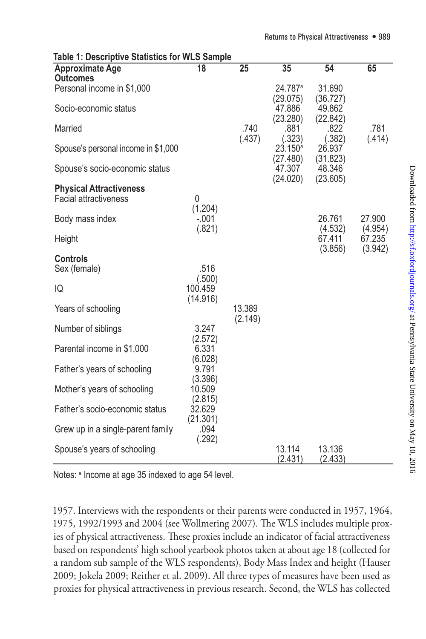| <b>Approximate Age</b>                                         | 18                  | $\overline{25}$   | $\overline{35}$                | 54                             | 65                |
|----------------------------------------------------------------|---------------------|-------------------|--------------------------------|--------------------------------|-------------------|
| <b>Outcomes</b><br>Personal income in \$1,000                  |                     |                   | 24.787 <sup>a</sup>            | 31.690                         |                   |
| Socio-economic status                                          |                     |                   | (29.075)<br>47.886<br>(23.280) | (36.727)<br>49.862<br>(22.842) |                   |
| Married                                                        |                     | .740<br>(.437)    | .881<br>(.323)                 | .822<br>(.382)                 | .781<br>(.414)    |
| Spouse's personal income in \$1,000                            |                     |                   | $23.150^{\circ}$<br>(27.480)   | 26.937<br>(31.823)             |                   |
| Spouse's socio-economic status                                 |                     |                   | 47.307<br>(24.020)             | 48.346<br>(23.605)             |                   |
| <b>Physical Attractiveness</b><br><b>Facial attractiveness</b> | 0<br>(1.204)        |                   |                                |                                |                   |
| Body mass index                                                | $-.001$<br>(.821)   |                   |                                | 26.761<br>(4.532)              | 27.900<br>(4.954) |
| Height                                                         |                     |                   |                                | 67.411<br>(3.856)              | 67.235<br>(3.942) |
| <b>Controls</b><br>Sex (female)                                | .516<br>(.500)      |                   |                                |                                |                   |
| IQ                                                             | 100.459<br>(14.916) |                   |                                |                                |                   |
| Years of schooling                                             |                     | 13.389<br>(2.149) |                                |                                |                   |
| Number of siblings                                             | 3.247<br>(2.572)    |                   |                                |                                |                   |
| Parental income in \$1,000                                     | 6.331<br>(6.028)    |                   |                                |                                |                   |
| Father's years of schooling                                    | 9.791<br>(3.396)    |                   |                                |                                |                   |
| Mother's years of schooling                                    | 10.509<br>(2.815)   |                   |                                |                                |                   |
| Father's socio-economic status                                 | 32.629<br>(21.301)  |                   |                                |                                |                   |
| Grew up in a single-parent family                              | .094<br>(.292)      |                   |                                |                                |                   |
| Spouse's years of schooling                                    |                     |                   | 13.114<br>(2.431)              | 13.136<br>(2.433)              |                   |

**Table 1: Descriptive Statistics for WLS Sample**

Notes: <sup>a</sup> Income at age 35 indexed to age 54 level.

1957. Interviews with the respondents or their parents were conducted in 1957, 1964, 1975, 1992/1993 and 2004 (see Wollmering 2007). The WLS includes multiple proxies of physical attractiveness. These proxies include an indicator of facial attractiveness based on respondents' high school yearbook photos taken at about age 18 (collected for a random sub sample of the WLS respondents), Body Mass Index and height (Hauser 2009; Jokela 2009; Reither et al. 2009). All three types of measures have been used as proxies for physical attractiveness in previous research. Second, the WLS has collected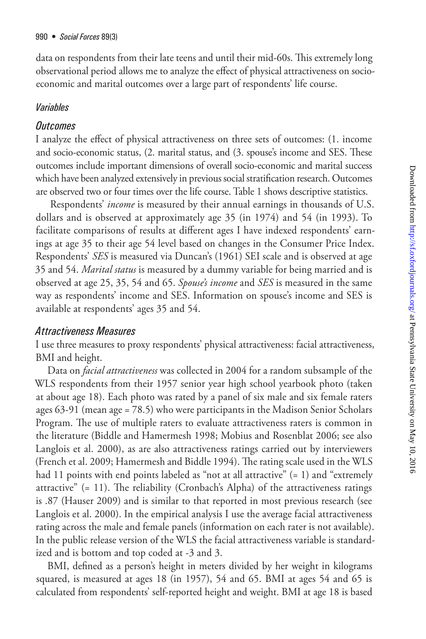data on respondents from their late teens and until their mid-60s. This extremely long observational period allows me to analyze the effect of physical attractiveness on socioeconomic and marital outcomes over a large part of respondents' life course.

#### *Variables*

#### *Outcomes*

I analyze the effect of physical attractiveness on three sets of outcomes: (1. income and socio-economic status, (2. marital status, and (3. spouse's income and SES. These outcomes include important dimensions of overall socio-economic and marital success which have been analyzed extensively in previous social stratification research. Outcomes are observed two or four times over the life course. Table 1 shows descriptive statistics.

 Respondents' *income* is measured by their annual earnings in thousands of U.S. dollars and is observed at approximately age 35 (in 1974) and 54 (in 1993). To facilitate comparisons of results at different ages I have indexed respondents' earnings at age 35 to their age 54 level based on changes in the Consumer Price Index. Respondents' *SES* is measured via Duncan's (1961) SEI scale and is observed at age 35 and 54. *Marital status* is measured by a dummy variable for being married and is observed at age 25, 35, 54 and 65. *Spouse's income* and *SES* is measured in the same way as respondents' income and SES. Information on spouse's income and SES is available at respondents' ages 35 and 54.

### *Attractiveness Measures*

I use three measures to proxy respondents' physical attractiveness: facial attractiveness, BMI and height.

Data on *facial attractiveness* was collected in 2004 for a random subsample of the WLS respondents from their 1957 senior year high school yearbook photo (taken at about age 18). Each photo was rated by a panel of six male and six female raters ages 63-91 (mean age = 78.5) who were participants in the Madison Senior Scholars Program. The use of multiple raters to evaluate attractiveness raters is common in the literature (Biddle and Hamermesh 1998; Mobius and Rosenblat 2006; see also Langlois et al. 2000), as are also attractiveness ratings carried out by interviewers (French et al. 2009; Hamermesh and Biddle 1994). The rating scale used in the WLS had 11 points with end points labeled as "not at all attractive" (= 1) and "extremely attractive" (= 11). The reliability (Cronbach's Alpha) of the attractiveness ratings is .87 (Hauser 2009) and is similar to that reported in most previous research (see Langlois et al. 2000). In the empirical analysis I use the average facial attractiveness rating across the male and female panels (information on each rater is not available). In the public release version of the WLS the facial attractiveness variable is standardized and is bottom and top coded at -3 and 3.

BMI, defined as a person's height in meters divided by her weight in kilograms squared, is measured at ages 18 (in 1957), 54 and 65. BMI at ages 54 and 65 is calculated from respondents' self-reported height and weight. BMI at age 18 is based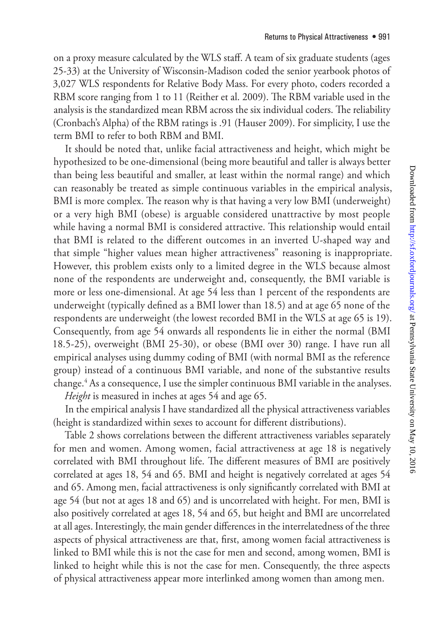on a proxy measure calculated by the WLS staff. A team of six graduate students (ages 25-33) at the University of Wisconsin-Madison coded the senior yearbook photos of 3,027 WLS respondents for Relative Body Mass. For every photo, coders recorded a RBM score ranging from 1 to 11 (Reither et al. 2009). The RBM variable used in the analysis is the standardized mean RBM across the six individual coders. The reliability (Cronbach's Alpha) of the RBM ratings is .91 (Hauser 2009). For simplicity, I use the term BMI to refer to both RBM and BMI.

It should be noted that, unlike facial attractiveness and height, which might be hypothesized to be one-dimensional (being more beautiful and taller is always better than being less beautiful and smaller, at least within the normal range) and which can reasonably be treated as simple continuous variables in the empirical analysis, BMI is more complex. The reason why is that having a very low BMI (underweight) or a very high BMI (obese) is arguable considered unattractive by most people while having a normal BMI is considered attractive. This relationship would entail that BMI is related to the different outcomes in an inverted U-shaped way and that simple "higher values mean higher attractiveness" reasoning is inappropriate. However, this problem exists only to a limited degree in the WLS because almost none of the respondents are underweight and, consequently, the BMI variable is more or less one-dimensional. At age 54 less than 1 percent of the respondents are underweight (typically defined as a BMI lower than 18.5) and at age 65 none of the respondents are underweight (the lowest recorded BMI in the WLS at age 65 is 19). Consequently, from age 54 onwards all respondents lie in either the normal (BMI 18.5-25), overweight (BMI 25-30), or obese (BMI over 30) range. I have run all empirical analyses using dummy coding of BMI (with normal BMI as the reference group) instead of a continuous BMI variable, and none of the substantive results change.4 As a consequence, I use the simpler continuous BMI variable in the analyses.

*Height* is measured in inches at ages 54 and age 65.

In the empirical analysis I have standardized all the physical attractiveness variables (height is standardized within sexes to account for different distributions).

Table 2 shows correlations between the different attractiveness variables separately for men and women. Among women, facial attractiveness at age 18 is negatively correlated with BMI throughout life. The different measures of BMI are positively correlated at ages 18, 54 and 65. BMI and height is negatively correlated at ages 54 and 65. Among men, facial attractiveness is only significantly correlated with BMI at age 54 (but not at ages 18 and 65) and is uncorrelated with height. For men, BMI is also positively correlated at ages 18, 54 and 65, but height and BMI are uncorrelated at all ages. Interestingly, the main gender differences in the interrelatedness of the three aspects of physical attractiveness are that, first, among women facial attractiveness is linked to BMI while this is not the case for men and second, among women, BMI is linked to height while this is not the case for men. Consequently, the three aspects of physical attractiveness appear more interlinked among women than among men.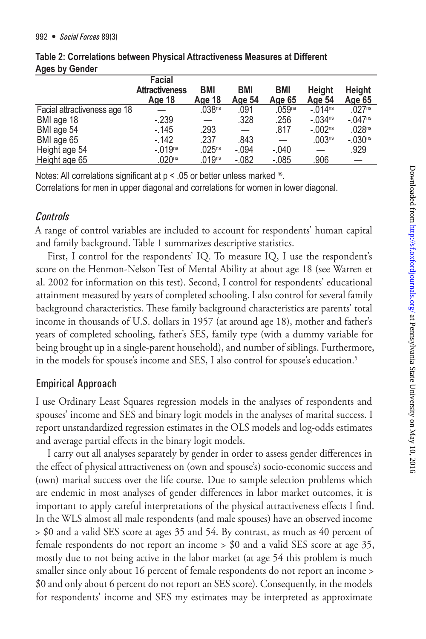| .                            | <b>Facial</b><br><b>Attractiveness</b><br>Age 18 | <b>BMI</b><br>Age 18 | <b>BMI</b><br>Age 54 | BMI<br>Age 65      | <b>Height</b><br>Age 54 | <b>Height</b><br>Age 65 |
|------------------------------|--------------------------------------------------|----------------------|----------------------|--------------------|-------------------------|-------------------------|
| Facial attractiveness age 18 |                                                  | .038 <sub>ns</sub>   | .091                 | .059 <sub>ns</sub> | $-.014ns$               | .027 <sup>ns</sup>      |
| BMI age 18                   | $-239$                                           |                      | .328                 | .256               | $-.034ns$               | $-.047ns$               |
| BMI age 54                   | $-145$                                           | .293                 | —                    | .817               | $-.002ns$               | .028 <sub>ns</sub>      |
| BMI age 65                   | $-142$                                           | .237                 | .843                 |                    | .003 <sub>ns</sub>      | $-.030ns$               |
| Height age 54                | $-.019ns$                                        | .025 <sup>ns</sup>   | $-.094$              | $-.040$            |                         | .929                    |
| Height age 65                | 020 <sup>ns</sup>                                | .019 <sub>ns</sub>   | -.082                | $-.085$            | .906                    |                         |

**Table 2: Correlations between Physical Attractiveness Measures at Different Ages by Gender**

Notes: All correlations significant at  $p < .05$  or better unless marked <sup>ns</sup>.

Correlations for men in upper diagonal and correlations for women in lower diagonal.

# *Controls*

A range of control variables are included to account for respondents' human capital and family background. Table 1 summarizes descriptive statistics.

First, I control for the respondents' IQ. To measure IQ, I use the respondent's score on the Henmon-Nelson Test of Mental Ability at about age 18 (see Warren et al. 2002 for information on this test). Second, I control for respondents' educational attainment measured by years of completed schooling. I also control for several family background characteristics. These family background characteristics are parents' total income in thousands of U.S. dollars in 1957 (at around age 18), mother and father's years of completed schooling, father's SES, family type (with a dummy variable for being brought up in a single-parent household), and number of siblings. Furthermore, in the models for spouse's income and SES, I also control for spouse's education.<sup>5</sup>

# Empirical Approach

I use Ordinary Least Squares regression models in the analyses of respondents and spouses' income and SES and binary logit models in the analyses of marital success. I report unstandardized regression estimates in the OLS models and log-odds estimates and average partial effects in the binary logit models.

I carry out all analyses separately by gender in order to assess gender differences in the effect of physical attractiveness on (own and spouse's) socio-economic success and (own) marital success over the life course. Due to sample selection problems which are endemic in most analyses of gender differences in labor market outcomes, it is important to apply careful interpretations of the physical attractiveness effects I find. In the WLS almost all male respondents (and male spouses) have an observed income > \$0 and a valid SES score at ages 35 and 54. By contrast, as much as 40 percent of female respondents do not report an income > \$0 and a valid SES score at age 35, mostly due to not being active in the labor market (at age 54 this problem is much smaller since only about 16 percent of female respondents do not report an income > \$0 and only about 6 percent do not report an SES score). Consequently, in the models for respondents' income and SES my estimates may be interpreted as approximate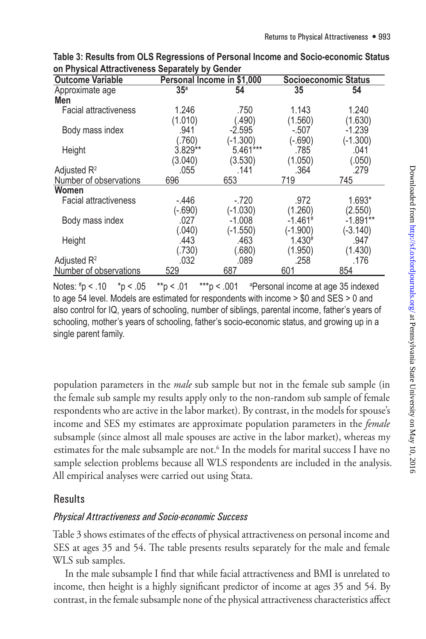| <b>Outcome Variable</b>      | Personal Income in \$1,000 |            |            | Socioeconomic Status |
|------------------------------|----------------------------|------------|------------|----------------------|
| Approximate age              | 35 <sup>a</sup>            | 54         | 35         | 54                   |
| Men                          |                            |            |            |                      |
| <b>Facial attractiveness</b> | 1.246                      | .750       | 1.143      | 1.240                |
|                              | (1.010)                    | (.490)     | (1.560)    | (1.630)              |
| Body mass index              | .941                       | $-2.595$   | $-.507$    | $-1.239$             |
|                              | (.760)                     | (-1.300)   | $(-.690)$  | $(-1.300)$           |
| Height                       | 3.829 **                   | 5.461***   | .785       | .041                 |
|                              | (3.040)                    | (3.530)    | (1.050)    | (050)                |
| Adjusted $R^2$               | .055                       | .141       | .364       | .279                 |
| Number of observations       | 696                        | 653        | 719        | 745                  |
| Women                        |                            |            |            |                      |
| <b>Facial attractiveness</b> | -.446                      | $-.720$    | .972       | 1.693*               |
|                              | $(-.690)$                  | $(-1.030)$ | (1.260)    | (2.550)              |
| Body mass index              | .027                       | $-1.008$   | $-1.461*$  | $-1.891**$           |
|                              | (.040)                     | (-1.550)   | $(-1.900)$ | (-3.140)             |
| Height                       | .443                       | .463       | $1.430*$   | .947                 |
|                              | (.730)                     | (.680)     | (1.950)    | (1.430)              |
| Adjusted $R^2$               | .032                       | .089       | .258       | .176                 |
| Number of observations       | 529                        | 687        | 601        | 854                  |

**Table 3: Results from OLS Regressions of Personal Income and Socio-economic Status on Physical Attractiveness Separately by Gender**

Notes:  $*<sub>p</sub> < .10$  $*p < .05$   $**p < .01$   $**p < .001$ Personal income at age 35 indexed to age 54 level. Models are estimated for respondents with income > \$0 and SES > 0 and also control for IQ, years of schooling, number of siblings, parental income, father's years of schooling, mother's years of schooling, father's socio-economic status, and growing up in a single parent family.

population parameters in the *male* sub sample but not in the female sub sample (in the female sub sample my results apply only to the non-random sub sample of female respondents who are active in the labor market). By contrast, in the models for spouse's income and SES my estimates are approximate population parameters in the *female* subsample (since almost all male spouses are active in the labor market), whereas my estimates for the male subsample are not.<sup>6</sup> In the models for marital success I have no sample selection problems because all WLS respondents are included in the analysis. All empirical analyses were carried out using Stata.

# Results

# *Physical Attractiveness and Socio-economic Success*

Table 3 shows estimates of the effects of physical attractiveness on personal income and SES at ages 35 and 54. The table presents results separately for the male and female WLS sub samples.

In the male subsample I find that while facial attractiveness and BMI is unrelated to income, then height is a highly significant predictor of income at ages 35 and 54. By contrast, in the female subsample none of the physical attractiveness characteristics affect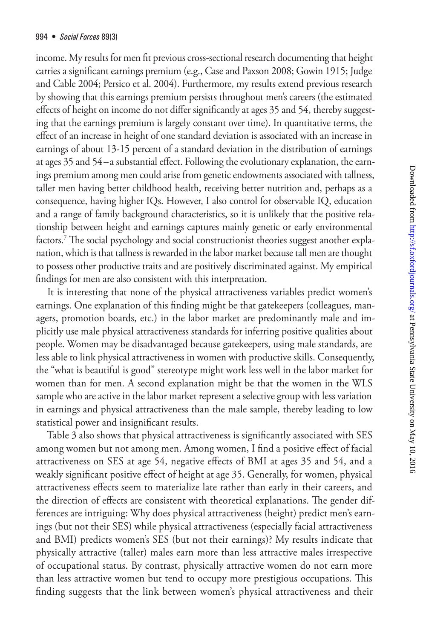income. My results for men fit previous cross-sectional research documenting that height carries a significant earnings premium (e.g., Case and Paxson 2008; Gowin 1915; Judge and Cable 2004; Persico et al. 2004). Furthermore, my results extend previous research by showing that this earnings premium persists throughout men's careers (the estimated effects of height on income do not differ significantly at ages 35 and 54, thereby suggesting that the earnings premium is largely constant over time). In quantitative terms, the effect of an increase in height of one standard deviation is associated with an increase in earnings of about 13-15 percent of a standard deviation in the distribution of earnings at ages 35 and 54–a substantial effect. Following the evolutionary explanation, the earnings premium among men could arise from genetic endowments associated with tallness, taller men having better childhood health, receiving better nutrition and, perhaps as a consequence, having higher IQs. However, I also control for observable IQ, education and a range of family background characteristics, so it is unlikely that the positive relationship between height and earnings captures mainly genetic or early environmental factors.7 The social psychology and social constructionist theories suggest another explanation, which is that tallness is rewarded in the labor market because tall men are thought to possess other productive traits and are positively discriminated against. My empirical findings for men are also consistent with this interpretation.

It is interesting that none of the physical attractiveness variables predict women's earnings. One explanation of this finding might be that gatekeepers (colleagues, managers, promotion boards, etc.) in the labor market are predominantly male and implicitly use male physical attractiveness standards for inferring positive qualities about people. Women may be disadvantaged because gatekeepers, using male standards, are less able to link physical attractiveness in women with productive skills. Consequently, the "what is beautiful is good" stereotype might work less well in the labor market for women than for men. A second explanation might be that the women in the WLS sample who are active in the labor market represent a selective group with less variation in earnings and physical attractiveness than the male sample, thereby leading to low statistical power and insignificant results.

Table 3 also shows that physical attractiveness is significantly associated with SES among women but not among men. Among women, I find a positive effect of facial attractiveness on SES at age 54, negative effects of BMI at ages 35 and 54, and a weakly significant positive effect of height at age 35. Generally, for women, physical attractiveness effects seem to materialize late rather than early in their careers, and the direction of effects are consistent with theoretical explanations. The gender differences are intriguing: Why does physical attractiveness (height) predict men's earnings (but not their SES) while physical attractiveness (especially facial attractiveness and BMI) predicts women's SES (but not their earnings)? My results indicate that physically attractive (taller) males earn more than less attractive males irrespective of occupational status. By contrast, physically attractive women do not earn more than less attractive women but tend to occupy more prestigious occupations. This finding suggests that the link between women's physical attractiveness and their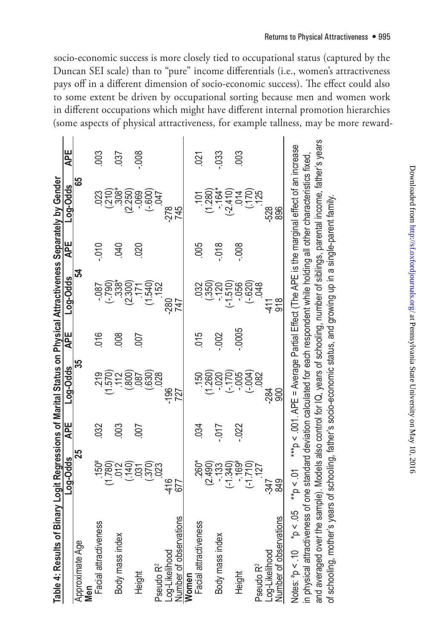| socio-economic success is more closely tied to occupational status (captured by the |
|-------------------------------------------------------------------------------------|
| Duncan SEI scale) than to "pure" income differentials (i.e., women's attractiveness |
| pays off in a different dimension of socio-economic success). The effect could also |
| to some extent be driven by occupational sorting because men and women work         |
| in different occupations which might have different internal promotion hierarchies  |
| (some aspects of physical attractiveness, for example tallness, may be more reward- |
|                                                                                     |

| Table 4: Results of Binary Logit Regressions of Marital Status on Physical Attractiveness Separately by Gender                     |                                   |                 |                                   |                 |                               |            |                      |            |
|------------------------------------------------------------------------------------------------------------------------------------|-----------------------------------|-----------------|-----------------------------------|-----------------|-------------------------------|------------|----------------------|------------|
|                                                                                                                                    | Log-Odds                          | APE             | Log-Odds                          | <b>APE</b>      | Log-Odds                      | <b>APE</b> | Log-Odds             | <b>APE</b> |
| Approximate Age<br><b>Men</b>                                                                                                      | 25                                |                 | 35                                |                 | 54                            |            | 65                   |            |
| Facial attractiveness                                                                                                              | $.150*$                           | 032             | 219                               | .016            | $-087$                        | $-010$     | $\frac{023}{210}$    | 003        |
| Body mass index                                                                                                                    | $(1.780)$<br>$012$                | $\overline{0}3$ | $(15200)$<br>$(1520)$<br>$(1520)$ | $\frac{8}{2}$   | $(-790)$<br>$-338$<br>(2.300) | 040        | $.308*$              | 037        |
| Height                                                                                                                             | <b>ESP</b><br>282                 | 007             | (030)                             | 00 <sub>1</sub> | (1.540)<br>171                | 020        | (2.250)<br>$(-.600)$ | $-0.08$    |
| Pseudo R <sup>2</sup>                                                                                                              | 023                               |                 | 028                               |                 | .152                          |            | .047                 |            |
| Number of observations<br>Log-Likelihood                                                                                           | 677                               |                 | 727                               |                 | 747<br>$-280$                 |            | $-278$<br>745        |            |
| Women                                                                                                                              |                                   |                 |                                   |                 |                               |            |                      |            |
| Facial attractiveness                                                                                                              | .260*                             | 034             | .150                              | $\frac{6}{10}$  | 032                           | 005        |                      | 21         |
| Body mass index                                                                                                                    | (2.490)<br>$-133$                 | 110.7           | (1.260)<br>$-0.020$               | $-002$          | (.350)<br>$-120$              | $-0.08$    | (1.280)<br>$-164*$   | $-0.33$    |
| Height                                                                                                                             | $-169$ <sup>#</sup><br>$(-1.340)$ | $-022$          | (170)<br>$-005$                   | $-0005$         | $-1.510$<br>$-0.56$           | $-008$     | $(-2.410)$           | 003        |
| Pseudo R <sup>2</sup>                                                                                                              | (1.710)<br>127                    |                 | $(-004)$<br>082                   |                 | $(-620)$<br>8<br>04           |            | (170)<br>125         |            |
| Number of observations<br>Log-Likelihood                                                                                           | 849<br>-347                       |                 | -284<br>ටි                        |                 | 918                           |            | -528<br>896          |            |
|                                                                                                                                    |                                   |                 |                                   |                 |                               |            |                      |            |
| in physical attractiveness of one standard deviation calculated for each respondent while holding all other characteristics fixed, |                                   |                 |                                   |                 |                               |            |                      |            |
| and averaged over the sample). Models also control for IQ, years of schooling, number of siblings, parental income, father's years |                                   |                 |                                   |                 |                               |            |                      |            |
| of schooling, mother's years of schooling, father's socio-economic status, and growing up in a single-parent family                |                                   |                 |                                   |                 |                               |            |                      |            |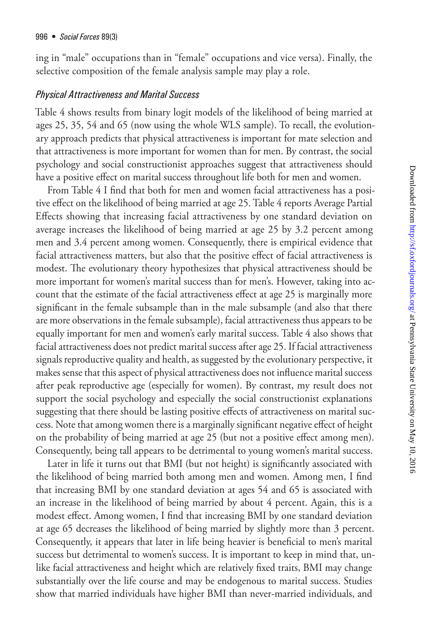ing in "male" occupations than in "female" occupations and vice versa). Finally, the selective composition of the female analysis sample may play a role.

#### *Physical Attractiveness and Marital Success*

Table 4 shows results from binary logit models of the likelihood of being married at ages 25, 35, 54 and 65 (now using the whole WLS sample). To recall, the evolutionary approach predicts that physical attractiveness is important for mate selection and that attractiveness is more important for women than for men. By contrast, the social psychology and social constructionist approaches suggest that attractiveness should have a positive effect on marital success throughout life both for men and women.

From Table 4 I find that both for men and women facial attractiveness has a positive effect on the likelihood of being married at age 25. Table 4 reports Average Partial Effects showing that increasing facial attractiveness by one standard deviation on average increases the likelihood of being married at age 25 by 3.2 percent among men and 3.4 percent among women. Consequently, there is empirical evidence that facial attractiveness matters, but also that the positive effect of facial attractiveness is modest. The evolutionary theory hypothesizes that physical attractiveness should be more important for women's marital success than for men's. However, taking into account that the estimate of the facial attractiveness effect at age 25 is marginally more significant in the female subsample than in the male subsample (and also that there are more observations in the female subsample), facial attractiveness thus appears to be equally important for men and women's early marital success. Table 4 also shows that facial attractiveness does not predict marital success after age 25. If facial attractiveness signals reproductive quality and health, as suggested by the evolutionary perspective, it makes sense that this aspect of physical attractiveness does not influence marital success after peak reproductive age (especially for women). By contrast, my result does not support the social psychology and especially the social constructionist explanations suggesting that there should be lasting positive effects of attractiveness on marital success. Note that among women there is a marginally significant negative effect of height on the probability of being married at age 25 (but not a positive effect among men). Consequently, being tall appears to be detrimental to young women's marital success.

Later in life it turns out that BMI (but not height) is significantly associated with the likelihood of being married both among men and women. Among men, I find that increasing BMI by one standard deviation at ages 54 and 65 is associated with an increase in the likelihood of being married by about 4 percent. Again, this is a modest effect. Among women, I find that increasing BMI by one standard deviation at age 65 decreases the likelihood of being married by slightly more than 3 percent. Consequently, it appears that later in life being heavier is beneficial to men's marital success but detrimental to women's success. It is important to keep in mind that, unlike facial attractiveness and height which are relatively fixed traits, BMI may change substantially over the life course and may be endogenous to marital success. Studies show that married individuals have higher BMI than never-married individuals, and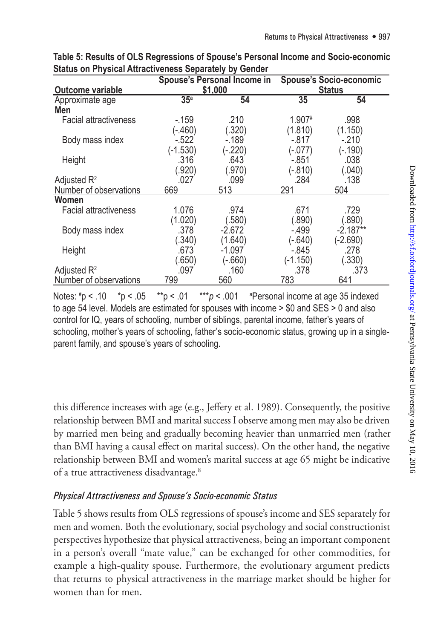|                              | Spouse's Personal Income in |           | <b>Spouse's Socio-economic</b> |               |
|------------------------------|-----------------------------|-----------|--------------------------------|---------------|
| <b>Outcome variable</b>      |                             | \$1,000   |                                | <b>Status</b> |
| Approximate age              | 35 <sup>a</sup>             | 54        | 35                             | 54            |
| Men                          |                             |           |                                |               |
| <b>Facial attractiveness</b> | $-.159$                     | .210      | 1.907#                         | .998          |
|                              | $(-.460)$                   | (.320)    | (1.810)                        | (1.150)       |
| Body mass index              | $-522$                      | $-189$    | $-0.817$                       | $-210$        |
|                              | $(-1.530)$                  | $(-.220)$ | $(-.077)$                      | $(-.190)$     |
| Height                       | .316                        | .643      | $-0.851$                       | .038          |
|                              | (.920)                      | (.970)    | $(-.810)$                      | (.040)        |
| Adjusted $R^2$               | .027                        | .099      | .284                           | .138          |
| Number of observations       | 669                         | 513       | 291                            | 504           |
| Women                        |                             |           |                                |               |
| <b>Facial attractiveness</b> | 1.076                       | .974      | .671                           | .729          |
|                              | (1.020)                     | (.580)    | (.890)                         | (.890)        |
| Body mass index              | .378                        | $-2.672$  | -.499                          | $-2.187**$    |
|                              | (.340)                      | (1.640)   | $(-.640)$                      | $(-2.690)$    |
| Height                       | .673                        | $-1.097$  | -.845                          | .278          |
|                              | (.650)                      | $(-.660)$ | $(-1.150)$                     | (.330)        |
| Adjusted $R^2$               | .097                        | .160      | .378                           | .373          |
| Number of observations       | 799                         | 560       | 783                            | 641           |

**Table 5: Results of OLS Regressions of Spouse's Personal Income and Socio-economic Status on Physical Attractiveness Separately by Gender**

Notes:  $p < .10$  $p < 0.05$  \*\*p < .01 \*\*\*p < .001 Personal income at age 35 indexed to age 54 level. Models are estimated for spouses with income > \$0 and SES > 0 and also control for IQ, years of schooling, number of siblings, parental income, father's years of schooling, mother's years of schooling, father's socio-economic status, growing up in a singleparent family, and spouse's years of schooling.

this difference increases with age (e.g., Jeffery et al. 1989). Consequently, the positive relationship between BMI and marital success I observe among men may also be driven by married men being and gradually becoming heavier than unmarried men (rather than BMI having a causal effect on marital success). On the other hand, the negative relationship between BMI and women's marital success at age 65 might be indicative of a true attractiveness disadvantage.8

# *Physical Attractiveness and Spouse's Socio-economic Status*

Table 5 shows results from OLS regressions of spouse's income and SES separately for men and women. Both the evolutionary, social psychology and social constructionist perspectives hypothesize that physical attractiveness, being an important component in a person's overall "mate value," can be exchanged for other commodities, for example a high-quality spouse. Furthermore, the evolutionary argument predicts that returns to physical attractiveness in the marriage market should be higher for women than for men.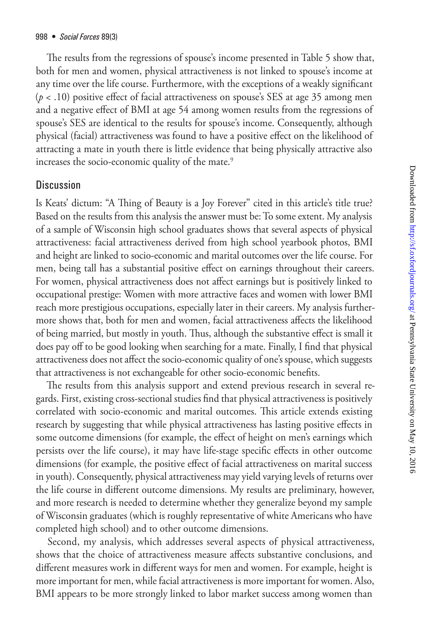The results from the regressions of spouse's income presented in Table 5 show that, both for men and women, physical attractiveness is not linked to spouse's income at any time over the life course. Furthermore, with the exceptions of a weakly significant (*p* < .10) positive effect of facial attractiveness on spouse's SES at age 35 among men and a negative effect of BMI at age 54 among women results from the regressions of spouse's SES are identical to the results for spouse's income. Consequently, although physical (facial) attractiveness was found to have a positive effect on the likelihood of attracting a mate in youth there is little evidence that being physically attractive also increases the socio-economic quality of the mate.<sup>9</sup>

### **Discussion**

Is Keats' dictum: "A Thing of Beauty is a Joy Forever" cited in this article's title true? Based on the results from this analysis the answer must be: To some extent. My analysis of a sample of Wisconsin high school graduates shows that several aspects of physical attractiveness: facial attractiveness derived from high school yearbook photos, BMI and height are linked to socio-economic and marital outcomes over the life course. For men, being tall has a substantial positive effect on earnings throughout their careers. For women, physical attractiveness does not affect earnings but is positively linked to occupational prestige: Women with more attractive faces and women with lower BMI reach more prestigious occupations, especially later in their careers. My analysis furthermore shows that, both for men and women, facial attractiveness affects the likelihood of being married, but mostly in youth. Thus, although the substantive effect is small it does pay off to be good looking when searching for a mate. Finally, I find that physical attractiveness does not affect the socio-economic quality of one's spouse, which suggests that attractiveness is not exchangeable for other socio-economic benefits.

The results from this analysis support and extend previous research in several regards. First, existing cross-sectional studies find that physical attractiveness is positively correlated with socio-economic and marital outcomes. This article extends existing research by suggesting that while physical attractiveness has lasting positive effects in some outcome dimensions (for example, the effect of height on men's earnings which persists over the life course), it may have life-stage specific effects in other outcome dimensions (for example, the positive effect of facial attractiveness on marital success in youth). Consequently, physical attractiveness may yield varying levels of returns over the life course in different outcome dimensions. My results are preliminary, however, and more research is needed to determine whether they generalize beyond my sample of Wisconsin graduates (which is roughly representative of white Americans who have completed high school) and to other outcome dimensions.

Second, my analysis, which addresses several aspects of physical attractiveness, shows that the choice of attractiveness measure affects substantive conclusions, and different measures work in different ways for men and women. For example, height is more important for men, while facial attractiveness is more important for women. Also, BMI appears to be more strongly linked to labor market success among women than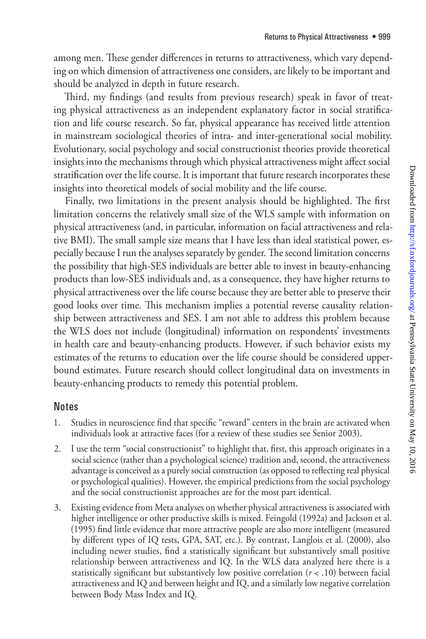among men. These gender differences in returns to attractiveness, which vary depending on which dimension of attractiveness one considers, are likely to be important and should be analyzed in depth in future research.

Third, my findings (and results from previous research) speak in favor of treating physical attractiveness as an independent explanatory factor in social stratification and life course research. So far, physical appearance has received little attention in mainstream sociological theories of intra- and inter-generational social mobility. Evolutionary, social psychology and social constructionist theories provide theoretical insights into the mechanisms through which physical attractiveness might affect social stratification over the life course. It is important that future research incorporates these insights into theoretical models of social mobility and the life course.

Finally, two limitations in the present analysis should be highlighted. The first limitation concerns the relatively small size of the WLS sample with information on physical attractiveness (and, in particular, information on facial attractiveness and relative BMI). The small sample size means that I have less than ideal statistical power, especially because I run the analyses separately by gender. The second limitation concerns the possibility that high-SES individuals are better able to invest in beauty-enhancing products than low-SES individuals and, as a consequence, they have higher returns to physical attractiveness over the life course because they are better able to preserve their good looks over time. This mechanism implies a potential reverse causality relationship between attractiveness and SES. I am not able to address this problem because the WLS does not include (longitudinal) information on respondents' investments in health care and beauty-enhancing products. However, if such behavior exists my estimates of the returns to education over the life course should be considered upperbound estimates. Future research should collect longitudinal data on investments in beauty-enhancing products to remedy this potential problem.

### Notes

- 1. Studies in neuroscience find that specific "reward" centers in the brain are activated when individuals look at attractive faces (for a review of these studies see Senior 2003).
- 2. I use the term "social constructionist" to highlight that, first, this approach originates in a social science (rather than a psychological science) tradition and, second, the attractiveness advantage is conceived as a purely social construction (as opposed to reflecting real physical or psychological qualities). However, the empirical predictions from the social psychology and the social constructionist approaches are for the most part identical.
- 3. Existing evidence from Meta analyses on whether physical attractiveness is associated with higher intelligence or other productive skills is mixed. Feingold (1992a) and Jackson et al. (1995) find little evidence that more attractive people are also more intelligent (measured by different types of IQ tests, GPA, SAT, etc.). By contrast, Langlois et al. (2000), also including newer studies, find a statistically significant but substantively small positive relationship between attractiveness and IQ. In the WLS data analyzed here there is a statistically significant but substantively low positive correlation (*r* < .10) between facial attractiveness and IQ and between height and IQ, and a similarly low negative correlation between Body Mass Index and IQ.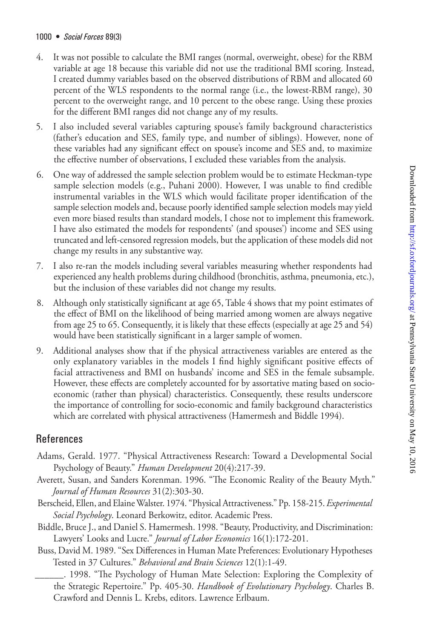#### 1000 • *Social Forces* 89(3)

- 4. It was not possible to calculate the BMI ranges (normal, overweight, obese) for the RBM variable at age 18 because this variable did not use the traditional BMI scoring. Instead, I created dummy variables based on the observed distributions of RBM and allocated 60 percent of the WLS respondents to the normal range (i.e., the lowest-RBM range), 30 percent to the overweight range, and 10 percent to the obese range. Using these proxies for the different BMI ranges did not change any of my results.
- 5. I also included several variables capturing spouse's family background characteristics (father's education and SES, family type, and number of siblings). However, none of these variables had any significant effect on spouse's income and SES and, to maximize the effective number of observations, I excluded these variables from the analysis.
- 6. One way of addressed the sample selection problem would be to estimate Heckman-type sample selection models (e.g., Puhani 2000). However, I was unable to find credible instrumental variables in the WLS which would facilitate proper identification of the sample selection models and, because poorly identified sample selection models may yield even more biased results than standard models, I chose not to implement this framework. I have also estimated the models for respondents' (and spouses') income and SES using truncated and left-censored regression models, but the application of these models did not change my results in any substantive way.
- 7. I also re-ran the models including several variables measuring whether respondents had experienced any health problems during childhood (bronchitis, asthma, pneumonia, etc.), but the inclusion of these variables did not change my results.
- 8. Although only statistically significant at age 65, Table 4 shows that my point estimates of the effect of BMI on the likelihood of being married among women are always negative from age 25 to 65. Consequently, it is likely that these effects (especially at age 25 and 54) would have been statistically significant in a larger sample of women.
- 9. Additional analyses show that if the physical attractiveness variables are entered as the only explanatory variables in the models I find highly significant positive effects of facial attractiveness and BMI on husbands' income and SES in the female subsample. However, these effects are completely accounted for by assortative mating based on socioeconomic (rather than physical) characteristics. Consequently, these results underscore the importance of controlling for socio-economic and family background characteristics which are correlated with physical attractiveness (Hamermesh and Biddle 1994).

### References

- Adams, Gerald. 1977. "Physical Attractiveness Research: Toward a Developmental Social Psychology of Beauty." *Human Development* 20(4):217-39.
- Averett, Susan, and Sanders Korenman. 1996. "The Economic Reality of the Beauty Myth." *Journal of Human Resources* 31(2):303-30.
- Berscheid, Ellen, and Elaine Walster. 1974. "Physical Attractiveness." Pp. 158-215. *Experimental Social Psychology*. Leonard Berkowitz, editor. Academic Press.
- Biddle, Bruce J., and Daniel S. Hamermesh. 1998. "Beauty, Productivity, and Discrimination: Lawyers' Looks and Lucre." *Journal of Labor Economics* 16(1):172-201.
- Buss, David M. 1989. "Sex Differences in Human Mate Preferences: Evolutionary Hypotheses Tested in 37 Cultures." *Behavioral and Brain Sciences* 12(1):1-49.
	- \_\_\_\_\_\_. 1998. "The Psychology of Human Mate Selection: Exploring the Complexity of the Strategic Repertoire." Pp. 405-30. *Handbook of Evolutionary Psychology*. Charles B. Crawford and Dennis L. Krebs, editors. Lawrence Erlbaum.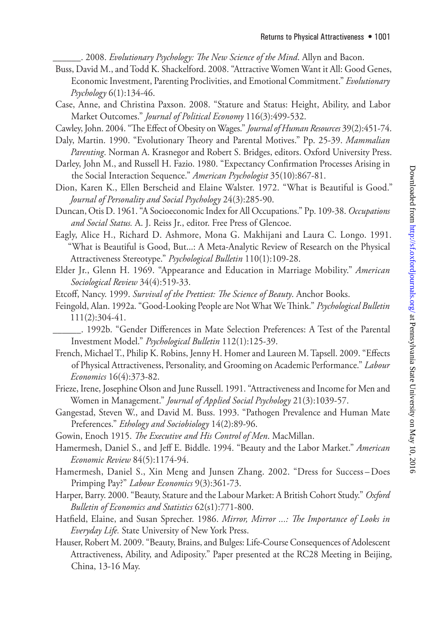\_\_\_\_\_\_. 2008. *Evolutionary Psychology: The New Science of the Mind*. Allyn and Bacon.

- Buss, David M., and Todd K. Shackelford. 2008. "Attractive Women Want it All: Good Genes, Economic Investment, Parenting Proclivities, and Emotional Commitment." *Evolutionary Psychology* 6(1):134-46.
- Case, Anne, and Christina Paxson. 2008. "Stature and Status: Height, Ability, and Labor Market Outcomes." *Journal of Political Economy* 116(3):499-532.
- Cawley, John. 2004. "The Effect of Obesity on Wages." *Journal of Human Resources* 39(2):451-74.
- Daly, Martin. 1990. "Evolutionary Theory and Parental Motives." Pp. 25-39. *Mammalian Parenting*. Norman A. Krasnegor and Robert S. Bridges, editors. Oxford University Press.
- Darley, John M., and Russell H. Fazio. 1980. "Expectancy Confirmation Processes Arising in the Social Interaction Sequence." *American Psychologist* 35(10):867-81.
- Dion, Karen K., Ellen Berscheid and Elaine Walster. 1972. "What is Beautiful is Good." *Journal of Personality and Social Psychology* 24(3):285-90.
- Duncan, Otis D. 1961. "A Socioeconomic Index for All Occupations." Pp. 109-38. *Occupations and Social Status.* A. J. Reiss Jr., editor. Free Press of Glencoe.
- Eagly, Alice H., Richard D. Ashmore, Mona G. Makhijani and Laura C. Longo. 1991. "What is Beautiful is Good, But...: A Meta-Analytic Review of Research on the Physical Attractiveness Stereotype." *Psychological Bulletin* 110(1):109-28.
- Elder Jr., Glenn H. 1969. "Appearance and Education in Marriage Mobility." *American Sociological Review* 34(4):519-33.
- Etcoff, Nancy. 1999. *Survival of the Prettiest: The Science of Beauty*. Anchor Books.
- Feingold, Alan. 1992a. "Good-Looking People are Not What We Think." *Psychological Bulletin* 111(2):304-41.
	- \_\_\_\_\_\_. 1992b. "Gender Differences in Mate Selection Preferences: A Test of the Parental Investment Model." *Psychological Bulletin* 112(1):125-39.
- French, Michael T., Philip K. Robins, Jenny H. Homer and Laureen M. Tapsell. 2009. "Effects of Physical Attractiveness, Personality, and Grooming on Academic Performance." *Labour Economics* 16(4):373-82.
- Frieze, Irene, Josephine Olson and June Russell. 1991. "Attractiveness and Income for Men and Women in Management." *Journal of Applied Social Psychology* 21(3):1039-57.
- Gangestad, Steven W., and David M. Buss. 1993. "Pathogen Prevalence and Human Mate Preferences." *Ethology and Sociobiology* 14(2):89-96.
- Gowin, Enoch 1915. *The Executive and His Control of Men*. MacMillan.
- Hamermesh, Daniel S., and Jeff E. Biddle. 1994. "Beauty and the Labor Market." *American Economic Review* 84(5):1174-94.
- Hamermesh, Daniel S., Xin Meng and Junsen Zhang. 2002. "Dress for Success Does Primping Pay?" *Labour Economics* 9(3):361-73.
- Harper, Barry. 2000. "Beauty, Stature and the Labour Market: A British Cohort Study." *Oxford Bulletin of Economics and Statistics* 62(s1):771-800.
- Hatfield, Elaine, and Susan Sprecher. 1986. *Mirror, Mirror ...: The Importance of Looks in Everyday Life.* State University of New York Press.
- Hauser, Robert M. 2009. "Beauty, Brains, and Bulges: Life-Course Consequences of Adolescent Attractiveness, Ability, and Adiposity." Paper presented at the RC28 Meeting in Beijing, China, 13-16 May.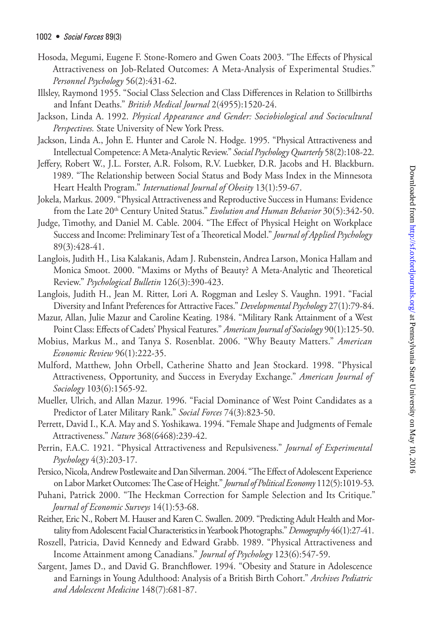- Hosoda, Megumi, Eugene F. Stone-Romero and Gwen Coats 2003. "The Effects of Physical Attractiveness on Job-Related Outcomes: A Meta-Analysis of Experimental Studies." *Personnel Psychology* 56(2):431-62.
- Illsley, Raymond 1955. "Social Class Selection and Class Differences in Relation to Stillbirths and Infant Deaths." *British Medical Journal* 2(4955):1520-24.
- Jackson, Linda A. 1992. *Physical Appearance and Gender: Sociobiological and Sociocultural Perspectives.* State University of New York Press.
- Jackson, Linda A., John E. Hunter and Carole N. Hodge. 1995. "Physical Attractiveness and Intellectual Competence: A Meta-Analytic Review." *Social Psychology Quarterly* 58(2):108-22.
- Jeffery, Robert W., J.L. Forster, A.R. Folsom, R.V. Luebker, D.R. Jacobs and H. Blackburn. 1989. "The Relationship between Social Status and Body Mass Index in the Minnesota Heart Health Program." *International Journal of Obesity* 13(1):59-67.
- Jokela, Markus. 2009. "Physical Attractiveness and Reproductive Success in Humans: Evidence from the Late 20th Century United Status." *Evolution and Human Behavior* 30(5):342-50.
- Judge, Timothy, and Daniel M. Cable. 2004. "The Effect of Physical Height on Workplace Success and Income: Preliminary Test of a Theoretical Model." *Journal of Applied Psychology* 89(3):428-41.
- Langlois, Judith H., Lisa Kalakanis, Adam J. Rubenstein, Andrea Larson, Monica Hallam and Monica Smoot. 2000. "Maxims or Myths of Beauty? A Meta-Analytic and Theoretical Review." *Psychological Bulletin* 126(3):390-423.
- Langlois, Judith H., Jean M. Ritter, Lori A. Roggman and Lesley S. Vaughn. 1991. "Facial Diversity and Infant Preferences for Attractive Faces." *Developmental Psychology* 27(1):79-84.
- Mazur, Allan, Julie Mazur and Caroline Keating. 1984. "Military Rank Attainment of a West Point Class: Effects of Cadets' Physical Features." *American Journal of Sociology* 90(1):125-50.
- Mobius, Markus M., and Tanya S. Rosenblat. 2006. "Why Beauty Matters." *American Economic Review* 96(1):222-35.
- Mulford, Matthew, John Orbell, Catherine Shatto and Jean Stockard. 1998. "Physical Attractiveness, Opportunity, and Success in Everyday Exchange." *American Journal of Sociology* 103(6):1565-92.
- Mueller, Ulrich, and Allan Mazur. 1996. "Facial Dominance of West Point Candidates as a Predictor of Later Military Rank." *Social Forces* 74(3):823-50.
- Perrett, David I., K.A. May and S. Yoshikawa. 1994. "Female Shape and Judgments of Female Attractiveness." *Nature* 368(6468):239-42.
- Perrin, F.A.C. 1921. "Physical Attractiveness and Repulsiveness." *Journal of Experimental Psychology* 4(3):203-17.
- Persico, Nicola, Andrew Postlewaite and Dan Silverman. 2004. "The Effect of Adolescent Experience on Labor Market Outcomes: The Case of Height." *Journal of Political Economy* 112(5):1019-53.
- Puhani, Patrick 2000. "The Heckman Correction for Sample Selection and Its Critique." *Journal of Economic Surveys* 14(1):53-68.
- Reither, Eric N., Robert M. Hauser and Karen C. Swallen. 2009. "Predicting Adult Health and Mortality from Adolescent Facial Characteristics in Yearbook Photographs." *Demography* 46(1):27-41.
- Roszell, Patricia, David Kennedy and Edward Grabb. 1989. "Physical Attractiveness and Income Attainment among Canadians." *Journal of Psychology* 123(6):547-59.
- Sargent, James D., and David G. Branchflower. 1994. "Obesity and Stature in Adolescence and Earnings in Young Adulthood: Analysis of a British Birth Cohort." *Archives Pediatric and Adolescent Medicine* 148(7):681-87.